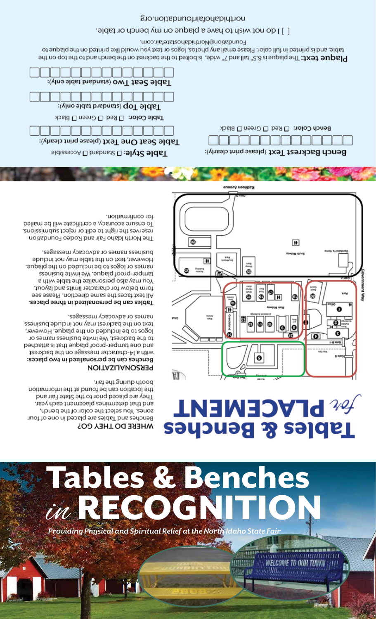

# lables & Benches NECOCH

#### **MHEKE DO LHEA COS**

hist sht gninb dtood. the location can be found at the information They are placed prior to the State Fair and and that determines placement each year. zones. You select the color of the bench, Benches and Tables are placed in one of four

### **PERSONALIZATION**

names or advocacy messages. text on the backrest may not include business logos to be included on the plaque. However, to the backrest. We invite business names or and one tamper-proof plaque that is attached with a 14-character message on the backrest Benches can be personalized in two places:

business names or advocacy messages. However, text on the table may not include names or logos to be included on the plaque. tamper-proof plaque. We invite business Kou may also personalize the table with a form below for character limits and layout. All text faces the same direction. Please see Tables can be personalized in three places.

for confirmation. To ensure accuracy, a certificate will be mailed reserves the right to edit or reject submissions. The North Idaho Fair and Rodeo Foundation

# **ASAPLACEMENT Tables & Benches**

**BEFREE** 

աՄՄԱ

**NANA I** 

**Serie all** 

**医硫氰酸医葡萄糖糖酸** 

www.www.www.ww **WELCOME TO OUR TOWN** 



Bench Color: <sup>[1] Red</sub> [1] Green [1] Black</sup>

Bench Backrest Text (please print clearly):

Foundation@Northidahostatefair.com. table, and is printed in full color. Please email any photos, logos or text you would like printed on the plaque to **Plaque text: T**he plaque is 8.5" tall and 7" wide, is bolted to the backrest on the bench and to the top on the

[ ] I do not wish to have a plaque on my bench or table.

g o. noi tab nuo histo dabid ton